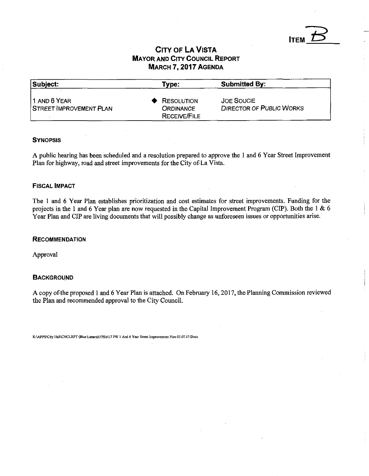## **CITY OF LA VISTA MAYOR AND CITY COUNCIL REPORT** MARCH 7,2017 AGENDA

**ITEM** 

| Subject:                                        | Type:                                                        | <b>Submitted By:</b>                                 |  |
|-------------------------------------------------|--------------------------------------------------------------|------------------------------------------------------|--|
| 11 AND 6 YEAR<br><b>STREET IMPROVEMENT PLAN</b> | <b>RESOLUTION</b><br><b>ORDINANCE</b><br><b>RECEIVE/FILE</b> | <b>JOE SOUCIE</b><br><b>DIRECTOR OF PUBLIC WORKS</b> |  |

#### **SYNOPSIS**

A public hearing has been scheduled and a resolution prepared to approve the 1 and 6 Year Street Improvement Plan for highway, road and street improvements for the City of La Vista.

### FISCAL IMPACT

The 1 and 6 Year Plan establishes prioritization and cost estimates for street improvements. Funding for the projects in the 1 and 6 Year plan are now requested in the Capital Improvement Program (CIP). Both the 1 & 6 Year Plan and CIP are living documents that will possibly change as unforeseen issues or opportunities arise.

#### **RECOMMENDATION**

Approval

### **BACKGROUND**

A copy of the proposed 1 and 6 Year Plan is attached. On February 16,2017, the Planning Commission reviewed the Plan and recommended approval to the City Council.

K:\APPS\City Hall\CNCLRPT (Blue Letters)\17file\17 PW 1 And 6 Year Street Improvement Plan 03.07.17.Docx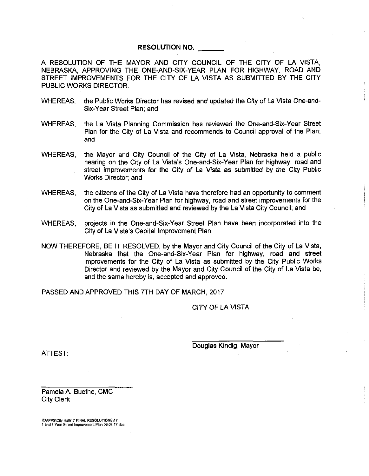### **RESOLUTION NO.**

A RESOLUTION OF THE MAYOR AND CITY COUNCIL OF THE CITY OF LA VISTA, NEBRASKA, APPROVING THE ONE-AND-SIX-YEAR PLAN FOR HIGHWAY, ROAD AND STREET IMPROVEMENTS FOR THE CITY OF LA VISTA AS SUBMITTED BY THE CITY PUBLIC WORKS DIRECTOR.

- WHEREAS, the Public Works Director has revised and updated the City of La Vista One-and-Six-Year Street Plan; and
- WHEREAS, the La Vista Planning Commission has reviewed the One-and-Six-Year Street Plan for the City of La Vista and recommends to Council approval of the Plan; and
- WHEREAS, the Mayor and City Council of the City of La Vista, Nebraska held a public hearing on the City of La Vista's One-and-Six-Year Plan for highway, road and street improvements for the City of La Vista as submitted by the City Public Works Director; and
- WHEREAS, the citizens of the City of La Vista have therefore had an opportunity to comment on the One-and-Six-Year Plan for highway, road and street improvements for the City of La Vista as submitted and reviewed by the La Vista City Council; and
- WHEREAS, projects in the One-and-Six-Year Street Plan have been incorporated into the City of La Vista's Capital Improvement Plan.
- NOW THEREFORE, BE IT RESOLVED, by the Mayor and City Council of the City of La Vista, Nebraska that the One-and-Six-Year Plan for highway, road and street improvements for the City of La Vista as submitted by the City Public Works Director and reviewed by the Mayor and City Council of the City of La Vista be, and the same hereby is, accepted and approved.

PASSED AND APPROVED THIS 7TH DAY OF MARCH, 2017

CITY OF LA VISTA

Douglas Kindig, Mayor

ATTEST:

Pamela A. Buethe, CMC City Clerk

K:\APPS\City Hall\17 FINAL RESOLUTIONS\17. 1 and 6 Year Street Improvement Plan 03.07.17.doc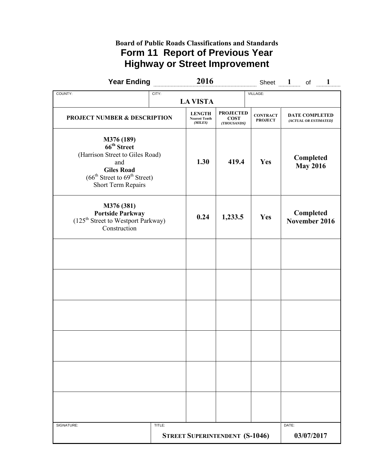## **Board of Public Roads Classifications and Standards Form 11 Report of Previous Year Highway or Street Improvement**

| <b>Year Ending</b>                                                                                                                                                                                |        | 2016                                             |                                                |                                   | Sheet $1$ of<br>$\blacksquare$                 |
|---------------------------------------------------------------------------------------------------------------------------------------------------------------------------------------------------|--------|--------------------------------------------------|------------------------------------------------|-----------------------------------|------------------------------------------------|
| COUNTY:                                                                                                                                                                                           | CITY:  | <b>LA VISTA</b>                                  |                                                | VILLAGE:                          |                                                |
| <b>PROJECT NUMBER &amp; DESCRIPTION</b>                                                                                                                                                           |        | <b>LENGTH</b><br><b>Nearest Tenth</b><br>(MILES) | <b>PROJECTED</b><br><b>COST</b><br>(THOUSANDS) | <b>CONTRACT</b><br><b>PROJECT</b> | <b>DATE COMPLETED</b><br>(ACTUAL OR ESTIMATED) |
| <b>M376 (189)</b><br>66 <sup>th</sup> Street<br>(Harrison Street to Giles Road)<br>and<br><b>Giles Road</b><br>$(66^{\text{th}})$ Street to $69^{\text{th}}$ Street)<br><b>Short Term Repairs</b> |        | 1.30                                             | 419.4                                          | Yes                               | Completed<br><b>May 2016</b>                   |
| M376 (381)<br><b>Portside Parkway</b><br>(125 <sup>th</sup> Street to Westport Parkway)<br>Construction                                                                                           |        | 0.24                                             | 1,233.5                                        | Yes                               | Completed<br>November 2016                     |
|                                                                                                                                                                                                   |        |                                                  |                                                |                                   |                                                |
|                                                                                                                                                                                                   |        |                                                  |                                                |                                   |                                                |
|                                                                                                                                                                                                   |        |                                                  |                                                |                                   |                                                |
|                                                                                                                                                                                                   |        |                                                  |                                                |                                   |                                                |
|                                                                                                                                                                                                   |        |                                                  |                                                |                                   |                                                |
|                                                                                                                                                                                                   |        |                                                  |                                                |                                   |                                                |
| SIGNATURE:                                                                                                                                                                                        | TITLE: | <b>STREET SUPERINTENDENT (S-1046)</b>            |                                                |                                   | DATE:<br>03/07/2017                            |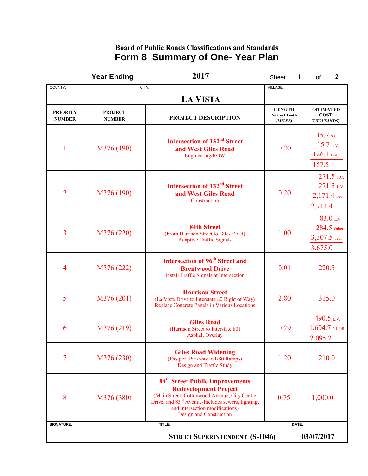## **Board of Public Roads Classifications and Standards Form 8 Summary of One- Year Plan**

|                                  | <b>Year Ending</b>              | 2017                                                                                                                                                                                                                                                       | Sheet                                            | 2<br>of                                               |
|----------------------------------|---------------------------------|------------------------------------------------------------------------------------------------------------------------------------------------------------------------------------------------------------------------------------------------------------|--------------------------------------------------|-------------------------------------------------------|
| COUNTY:                          |                                 | CITY:                                                                                                                                                                                                                                                      | VILLAGE:                                         |                                                       |
|                                  |                                 | <b>LA VISTA</b>                                                                                                                                                                                                                                            |                                                  |                                                       |
| <b>PRIORITY</b><br><b>NUMBER</b> | <b>PROJECT</b><br><b>NUMBER</b> | <b>PROJECT DESCRIPTION</b>                                                                                                                                                                                                                                 | <b>LENGTH</b><br><b>Nearest Tenth</b><br>(MILES) | <b>ESTIMATED</b><br><b>COST</b><br>(THOUSANDS)        |
| $\mathbf{1}$                     | M376 (190)                      | <b>Intersection of 132<sup>nd</sup> Street</b><br>and West Giles Road<br>Engineering/ROW                                                                                                                                                                   | 0.20                                             | $15.7$ s.c.<br>15.7 L.V.<br>126.1 Fed.<br>157.5       |
| $\overline{2}$                   | M376 (190)                      | Intersection of 132 <sup>nd</sup> Street<br>and West Giles Road<br>Construction                                                                                                                                                                            | 0.20                                             | 271.5 s.c.<br>$271.5$ LV<br>$2,171.4$ Fed.<br>2,714.4 |
| 3                                | M376 (220)                      | <b>84th Street</b><br>(From Harrison Street to Giles Road)<br><b>Adaptive Traffic Signals</b>                                                                                                                                                              | 1.00                                             | 83.0 L.V<br>284.5 Other<br>3,307.5 Fed.<br>3,675.0    |
| 4                                | M376 (222)                      | <b>Intersection of 96<sup>th</sup> Street and</b><br><b>Brentwood Drive</b><br>Install Traffic Signals at Intersection                                                                                                                                     | 0.01                                             | 220.5                                                 |
| 5                                | M376 (201)                      | <b>Harrison Street</b><br>(La Vista Drive to Interstate 80 Right of Way)<br>Replace Concrete Panels in Various Locations                                                                                                                                   | 2.80                                             | 315.0                                                 |
| 6                                | M376 (219)                      | <b>Giles Road</b><br>(Harrison Street to Interstate 80)<br><b>Asphalt Overlay</b>                                                                                                                                                                          | 0.29                                             | 490.5 L.V.<br>$1,604.7$ NDOR<br>2,095.2               |
| 7                                | M376 (230)                      | <b>Giles Road Widening</b><br>(Eastport Parkway to I-80 Ramps)<br>Design and Traffic Study                                                                                                                                                                 | 1.20                                             | 210.0                                                 |
| 8                                | M376 (380)                      | 84 <sup>th</sup> Street Public Improvements<br><b>Redevelopment Project</b><br>(Main Street, Cottonwood Avenue, City Centre<br>Drive, and 83 <sup>rd</sup> Avenue-Includes sewers, lighting,<br>and intersection modifications)<br>Design and Construction | 0.75                                             | 1,000.0                                               |
| <b>SIGNATURE:</b>                |                                 | TITLE:                                                                                                                                                                                                                                                     |                                                  | DATE:                                                 |
|                                  |                                 | <b>STREET SUPERINTENDENT (S-1046)</b>                                                                                                                                                                                                                      |                                                  | 03/07/2017                                            |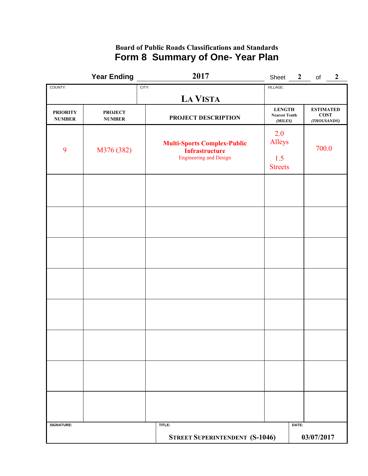## **Board of Public Roads Classifications and Standards Form 8 Summary of One- Year Plan**

|                                  | <b>Year Ending</b>              |       | 2017                                                                                         | Sheet 2                                          |       | of $2$                                    |  |
|----------------------------------|---------------------------------|-------|----------------------------------------------------------------------------------------------|--------------------------------------------------|-------|-------------------------------------------|--|
| COUNTY:                          |                                 | CITY: |                                                                                              | VILLAGE:                                         |       |                                           |  |
|                                  |                                 |       | <b>LA VISTA</b>                                                                              |                                                  |       |                                           |  |
| <b>PRIORITY</b><br><b>NUMBER</b> | <b>PROJECT</b><br><b>NUMBER</b> |       | PROJECT DESCRIPTION                                                                          | <b>LENGTH</b><br><b>Nearest Tenth</b><br>(MILES) |       | <b>ESTIMATED</b><br>$\cos$<br>(THOUSANDS) |  |
| 9                                | M376 (382)                      |       | <b>Multi-Sports Complex-Public</b><br><b>Infrastructure</b><br><b>Engineering and Design</b> | 2.0<br>Alleys<br>1.5<br><b>Streets</b>           |       | 700.0                                     |  |
|                                  |                                 |       |                                                                                              |                                                  |       |                                           |  |
|                                  |                                 |       |                                                                                              |                                                  |       |                                           |  |
|                                  |                                 |       |                                                                                              |                                                  |       |                                           |  |
|                                  |                                 |       |                                                                                              |                                                  |       |                                           |  |
|                                  |                                 |       |                                                                                              |                                                  |       |                                           |  |
|                                  |                                 |       |                                                                                              |                                                  |       |                                           |  |
|                                  |                                 |       |                                                                                              |                                                  |       |                                           |  |
|                                  |                                 |       |                                                                                              |                                                  |       |                                           |  |
| <b>SIGNATURE:</b>                |                                 |       | TITLE:<br><b>STREET SUPERINTENDENT (S-1046)</b>                                              |                                                  | DATE: | 03/07/2017                                |  |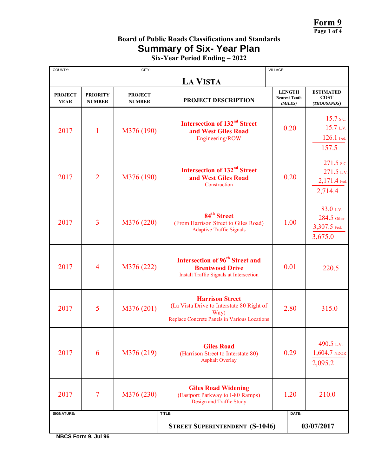**Form 9 Page 1 of 4** 

# **Board of Public Roads Classifications and Standards Summary of Six- Year Plan**

**Six-Year Period Ending – 2022**

| COUNTY:                       |                                  | CITY:                           |                                                                                                                             | VILLAGE:                                         |                                                     |
|-------------------------------|----------------------------------|---------------------------------|-----------------------------------------------------------------------------------------------------------------------------|--------------------------------------------------|-----------------------------------------------------|
|                               |                                  |                                 | <b>LA VISTA</b>                                                                                                             |                                                  |                                                     |
| <b>PROJECT</b><br><b>YEAR</b> | <b>PRIORITY</b><br><b>NUMBER</b> | <b>PROJECT</b><br><b>NUMBER</b> | PROJECT DESCRIPTION                                                                                                         | <b>LENGTH</b><br><b>Nearest Tenth</b><br>(MILES) | <b>ESTIMATED</b><br><b>COST</b><br>(THOUSANDS)      |
| 2017                          | $\mathbf{1}$                     | M376 (190)                      | <b>Intersection of 132<sup>nd</sup> Street</b><br>and West Giles Road<br>Engineering/ROW                                    | 0.20                                             | 15.7 s.c.<br>15.7 L.V.<br>126.1 Fed.<br>157.5       |
| 2017                          | $\overline{2}$                   | M376 (190)                      | <b>Intersection of 132<sup>nd</sup> Street</b><br>and West Giles Road<br>Construction                                       | 0.20                                             | 271.5 s.c.<br>271.5 L.V.<br>2,171.4 Fed.<br>2,714.4 |
| 2017                          | 3                                | M376 (220)                      | 84 <sup>th</sup> Street<br>(From Harrison Street to Giles Road)<br><b>Adaptive Traffic Signals</b>                          | 1.00                                             | 83.0 L.V.<br>284.5 Other<br>3,307.5 Fed.<br>3,675.0 |
| 2017                          | 4                                | M376 (222)                      | Intersection of 96 <sup>th</sup> Street and<br><b>Brentwood Drive</b><br>Install Traffic Signals at Intersection            | 0.01                                             | 220.5                                               |
| 2017                          | 5                                | M376 (201)                      | <b>Harrison Street</b><br>(La Vista Drive to Interstate 80 Right of<br>Way)<br>Replace Concrete Panels in Various Locations | 2.80                                             | 315.0                                               |
| 2017                          | 6                                | M376 (219)                      | <b>Giles Road</b><br>(Harrison Street to Interstate 80)<br><b>Asphalt Overlay</b>                                           | 0.29                                             | 490.5 L.V.<br>1,604.7 NDOR<br>2,095.2               |
| 2017                          | 7                                | M376 (230)                      | <b>Giles Road Widening</b><br>(Eastport Parkway to I-80 Ramps)<br>Design and Traffic Study                                  | 1.20                                             | 210.0                                               |
| <b>SIGNATURE:</b>             |                                  |                                 | TITLE:                                                                                                                      | DATE:                                            |                                                     |
|                               |                                  |                                 | <b>STREET SUPERINTENDENT (S-1046)</b>                                                                                       |                                                  | 03/07/2017                                          |

**NBCS Form 9, Jul 96**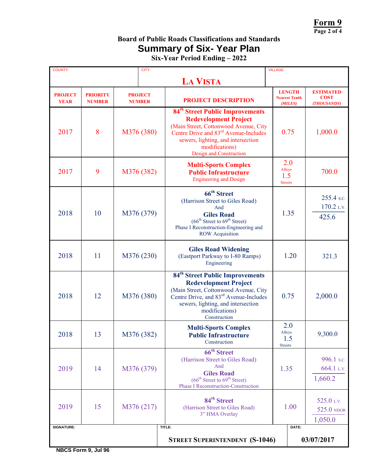**Form 9 Page 2 of 4** 

# **Board of Public Roads Classifications and Standards Summary of Six- Year Plan**

|  |  | Six-Year Period Ending - 2022 |  |
|--|--|-------------------------------|--|
|--|--|-------------------------------|--|

| <b>COUNTY:</b>                |                                  | CITY:                           |                                                                                                                                                                                                                                                              | <b>VILLAGE:</b>                                  |                                                |
|-------------------------------|----------------------------------|---------------------------------|--------------------------------------------------------------------------------------------------------------------------------------------------------------------------------------------------------------------------------------------------------------|--------------------------------------------------|------------------------------------------------|
|                               |                                  |                                 | <b>LA VISTA</b>                                                                                                                                                                                                                                              |                                                  |                                                |
| <b>PROJECT</b><br><b>YEAR</b> | <b>PRIORITY</b><br><b>NUMBER</b> | <b>PROJECT</b><br><b>NUMBER</b> | <b>PROJECT DESCRIPTION</b>                                                                                                                                                                                                                                   | <b>LENGTH</b><br><b>Nearest Tenth</b><br>(MILES) | <b>ESTIMATED</b><br><b>COST</b><br>(THOUSANDS) |
| 2017                          | 8                                | M376 (380)                      | 84 <sup>th</sup> Street Public Improvements<br><b>Redevelopment Project</b><br>(Main Street, Cottonwood Avenue, City<br>Centre Drive and 83 <sup>rd</sup> Avenue-Includes<br>sewers, lighting, and intersection<br>modifications)<br>Design and Construction | 0.75                                             | 1,000.0                                        |
| 2017                          | 9                                | M376 (382)                      | <b>Multi-Sports Complex</b><br><b>Public Infrastructure</b><br><b>Engineering and Design</b>                                                                                                                                                                 | 2.0<br>Alleys<br>1.5<br><b>Streets</b>           | 700.0                                          |
| 2018                          | 10                               | M376 (379)                      | 66 <sup>th</sup> Street<br>(Harrison Street to Giles Road)<br>And<br><b>Giles Road</b><br>(66 <sup>th</sup> Street to 69 <sup>th</sup> Street)<br>Phase I Reconstruction-Engineering and<br><b>ROW</b> Acquisition                                           | 1.35                                             | 255.4 s.c.<br>170.2 L.V.<br>425.6              |
| 2018                          | 11                               | M376 (230)                      | <b>Giles Road Widening</b><br>(Eastport Parkway to I-80 Ramps)<br>Engineering                                                                                                                                                                                | 1.20                                             | 321.3                                          |
| 2018                          | 12                               | M376 (380)                      | 84 <sup>th</sup> Street Public Improvements<br><b>Redevelopment Project</b><br>(Main Street, Cottonwood Avenue, City<br>Centre Drive, and 83 <sup>rd</sup> Avenue-Includes<br>sewers, lighting, and intersection<br>modifications)<br>Construction           | 0.75                                             | 2,000.0                                        |
| 2018                          | 13                               | M376 (382)                      | <b>Multi-Sports Complex</b><br><b>Public Infrastructure</b><br>Construction                                                                                                                                                                                  | 2.0<br>Alleys<br>1.5<br><b>Streets</b>           | 9,300.0                                        |
| 2019                          | 14                               | M376 (379)                      | 66 <sup>th</sup> Street<br>(Harrison Street to Giles Road)<br>And<br><b>Giles Road</b><br>(66 <sup>th</sup> Street to 69 <sup>th</sup> Street)<br><b>Phase I Reconstruction-Construction</b>                                                                 | 1.35                                             | 996.1 s.c.<br>664.1 L.V.<br>1,660.2            |
| 2019                          | 15                               | M376 (217)                      | 84 <sup>th</sup> Street<br>(Harrison Street to Giles Road)<br>3" HMA Overlay                                                                                                                                                                                 | 1.00                                             | 525.0 L.V.<br>525.0 NDOR<br>1,050.0            |
| SIGNATURE:                    |                                  |                                 | TITLE:<br>DATE:                                                                                                                                                                                                                                              |                                                  |                                                |
|                               |                                  |                                 | <b>STREET SUPERINTENDENT (S-1046)</b>                                                                                                                                                                                                                        |                                                  | 03/07/2017                                     |

**NBCS Form 9, Jul 96**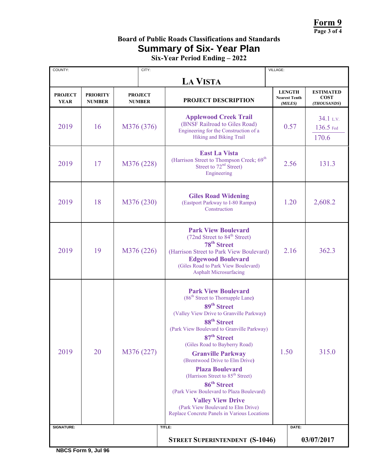**Form 9 Page 3 of 4** 

# **Board of Public Roads Classifications and Standards Summary of Six- Year Plan**

**Six-Year Period Ending – 2022**

| COUNTY:                       |                                  | CITY:                           |                                                                                                                                                                                                                                                                                                                                                                                                                                                                                                                                                                                                                         | VILLAGE:                                         |                                                |
|-------------------------------|----------------------------------|---------------------------------|-------------------------------------------------------------------------------------------------------------------------------------------------------------------------------------------------------------------------------------------------------------------------------------------------------------------------------------------------------------------------------------------------------------------------------------------------------------------------------------------------------------------------------------------------------------------------------------------------------------------------|--------------------------------------------------|------------------------------------------------|
|                               |                                  |                                 | <b>LA VISTA</b>                                                                                                                                                                                                                                                                                                                                                                                                                                                                                                                                                                                                         |                                                  |                                                |
| <b>PROJECT</b><br><b>YEAR</b> | <b>PRIORITY</b><br><b>NUMBER</b> | <b>PROJECT</b><br><b>NUMBER</b> | PROJECT DESCRIPTION                                                                                                                                                                                                                                                                                                                                                                                                                                                                                                                                                                                                     | <b>LENGTH</b><br><b>Nearest Tenth</b><br>(MILES) | <b>ESTIMATED</b><br><b>COST</b><br>(THOUSANDS) |
| 2019                          | 16                               | M376 (376)                      | <b>Applewood Creek Trail</b><br>(BNSF Railroad to Giles Road)<br>Engineering for the Construction of a<br>Hiking and Biking Trail                                                                                                                                                                                                                                                                                                                                                                                                                                                                                       | 0.57                                             | 34.1 L.V.<br>136.5 Fed<br>170.6                |
| 2019                          | 17                               | M376 (228)                      | <b>East La Vista</b><br>(Harrison Street to Thompson Creek; 69 <sup>th</sup><br>Street to 72 <sup>nd</sup> Street)<br>Engineering                                                                                                                                                                                                                                                                                                                                                                                                                                                                                       | 2.56                                             | 131.3                                          |
| 2019                          | 18                               | M376 (230)                      | <b>Giles Road Widening</b><br>(Eastport Parkway to I-80 Ramps)<br>Construction                                                                                                                                                                                                                                                                                                                                                                                                                                                                                                                                          | 1.20                                             | 2,608.2                                        |
| 2019                          | 19                               | M376 (226)                      | <b>Park View Boulevard</b><br>(72nd Street to 84 <sup>th</sup> Street)<br>78 <sup>th</sup> Street<br>(Harrison Street to Park View Boulevard)<br><b>Edgewood Boulevard</b><br>(Giles Road to Park View Boulevard)<br><b>Asphalt Microsurfacing</b>                                                                                                                                                                                                                                                                                                                                                                      | 2.16                                             | 362.3                                          |
| 2019                          | 20                               | M376 (227)                      | <b>Park View Boulevard</b><br>(86 <sup>th</sup> Street to Thornapple Lane)<br>89 <sup>th</sup> Street<br>(Valley View Drive to Granville Parkway)<br>88 <sup>th</sup> Street<br>(Park View Boulevard to Granville Parkway)<br>87 <sup>th</sup> Street<br>(Giles Road to Bayberry Road)<br><b>Granville Parkway</b><br>(Brentwood Drive to Elm Drive)<br><b>Plaza Boulevard</b><br>(Harrison Street to 85 <sup>th</sup> Street)<br>86 <sup>th</sup> Street<br>(Park View Boulevard to Plaza Boulevard)<br><b>Valley View Drive</b><br>(Park View Boulevard to Elm Drive)<br>Replace Concrete Panels in Various Locations | 1.50                                             | 315.0                                          |
| <b>SIGNATURE:</b>             |                                  |                                 | TITLE:                                                                                                                                                                                                                                                                                                                                                                                                                                                                                                                                                                                                                  | DATE:                                            |                                                |
|                               |                                  |                                 | <b>STREET SUPERINTENDENT (S-1046)</b>                                                                                                                                                                                                                                                                                                                                                                                                                                                                                                                                                                                   |                                                  | 03/07/2017                                     |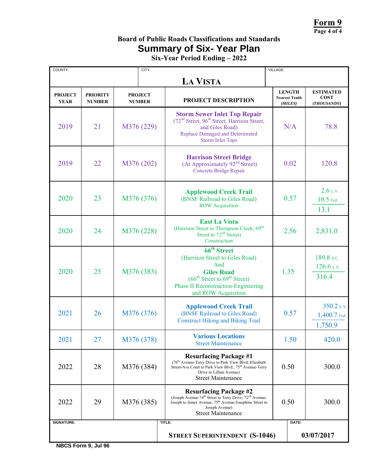**Form 9 Page 4 of 4** 

# **Board of Public Roads Classifications and Standards Summary of Six- Year Plan**

**Six-Year Period Ending – 2022**

| COUNTY:                       |                                  | CITY:                           |                                                                                                                                                                                                                                   | VILLAGE: |                                                  |                                                |
|-------------------------------|----------------------------------|---------------------------------|-----------------------------------------------------------------------------------------------------------------------------------------------------------------------------------------------------------------------------------|----------|--------------------------------------------------|------------------------------------------------|
|                               |                                  |                                 | <b>LA VISTA</b>                                                                                                                                                                                                                   |          |                                                  |                                                |
| <b>PROJECT</b><br><b>YEAR</b> | <b>PRIORITY</b><br><b>NUMBER</b> | <b>PROJECT</b><br><b>NUMBER</b> | PROJECT DESCRIPTION                                                                                                                                                                                                               |          | <b>LENGTH</b><br><b>Nearest Tenth</b><br>(MILES) | <b>ESTIMATED</b><br><b>COST</b><br>(THOUSANDS) |
| 2019                          | 21                               | M376 (229)                      | <b>Storm Sewer Inlet Top Repair</b><br>(72 <sup>nd</sup> Street, 96 <sup>th</sup> Street, Harrison Street,<br>and Giles Road)<br>Replace Damaged and Deteriorated<br><b>Storm Inlet Tops</b>                                      |          | N/A                                              | 78.8                                           |
| 2019                          | 22                               | M376 (202)                      | <b>Harrison Street Bridge</b><br>(At Approximately 92 <sup>nd</sup> Street)<br>Concrete Bridge Repair                                                                                                                             |          | 0.02                                             | 120.8                                          |
| 2020                          | 23                               | M376 (376)                      | <b>Applewood Creek Trail</b><br>(BNSF Railroad to Giles Road)<br><b>ROW</b> Acquisition                                                                                                                                           |          | 0.57                                             | $2.6$ L.V.<br>10.5 Fed.<br>13.1                |
| 2020                          | 24                               | M376 (228)                      | <b>East La Vista</b><br>(Harrison Street to Thompson Creek; 69 <sup>th</sup><br>Street to 72 <sup>nd</sup> Street)<br>Construction                                                                                                |          | 2.56                                             | 2,831.0                                        |
| 2020                          | 25                               | M376 (383)                      | 66 <sup>th</sup> Street<br>(Harrison Street to Giles Road)<br>And<br><b>Giles Road</b><br>(66 <sup>th</sup> Street to 69 <sup>th</sup> Street)<br><b>Phase II Reconstruction-Engineering</b><br>and ROW Acquisition               | 1.35     |                                                  | 189.8 s.c.<br>126.6 L.V.<br>316.4              |
| 2021                          | 26                               | M376 (376)                      | <b>Applewood Creek Trail</b><br>(BNSF Railroad to Giles Road)<br><b>Construct Hiking and Biking Trail</b>                                                                                                                         |          | 0.57                                             | 350.2 L.V.<br>1,400.7 Fed.<br>1,750.9          |
| 2021                          | 27                               | M376 (378)                      | <b>Various Locations</b><br><b>Street Maintenance</b>                                                                                                                                                                             |          | 1.50                                             | 420.0                                          |
| 2022                          | 28                               | M376 (384)                      | <b>Resurfacing Package #1</b><br>(76 <sup>th</sup> Avenue-Terry Drive to Park View Blvd; Elizabeth<br>Street-Ava Court to Park View Blvd.; 75 <sup>th</sup> Avenue-Terry<br>Drive to Lillian Avenue)<br><b>Street Maintenance</b> | 0.50     |                                                  | 300.0                                          |
| 2022                          | 29                               | M376 (385)                      | <b>Resurfacing Package #2</b><br>(Joseph Avenue-74 <sup>th</sup> Street to Terry Drive; $72nd$ Avenue-<br>Joseph to James Avenue; $75th$ Avenue-Josephine Street to<br>Joseph Avenue)<br><b>Street Maintenance</b>                | 0.50     |                                                  | 300.0                                          |
| <b>SIGNATURE:</b>             |                                  |                                 | TITLE:                                                                                                                                                                                                                            |          | DATE:                                            |                                                |
|                               |                                  |                                 | <b>STREET SUPERINTENDENT (S-1046)</b>                                                                                                                                                                                             |          |                                                  | 03/07/2017                                     |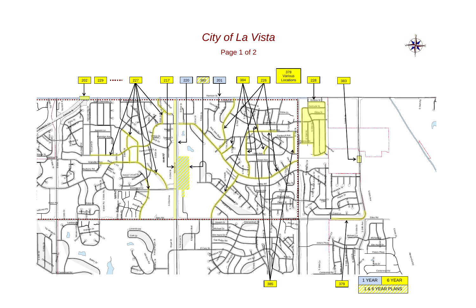# *City of La Vista*

Page 1 of 2